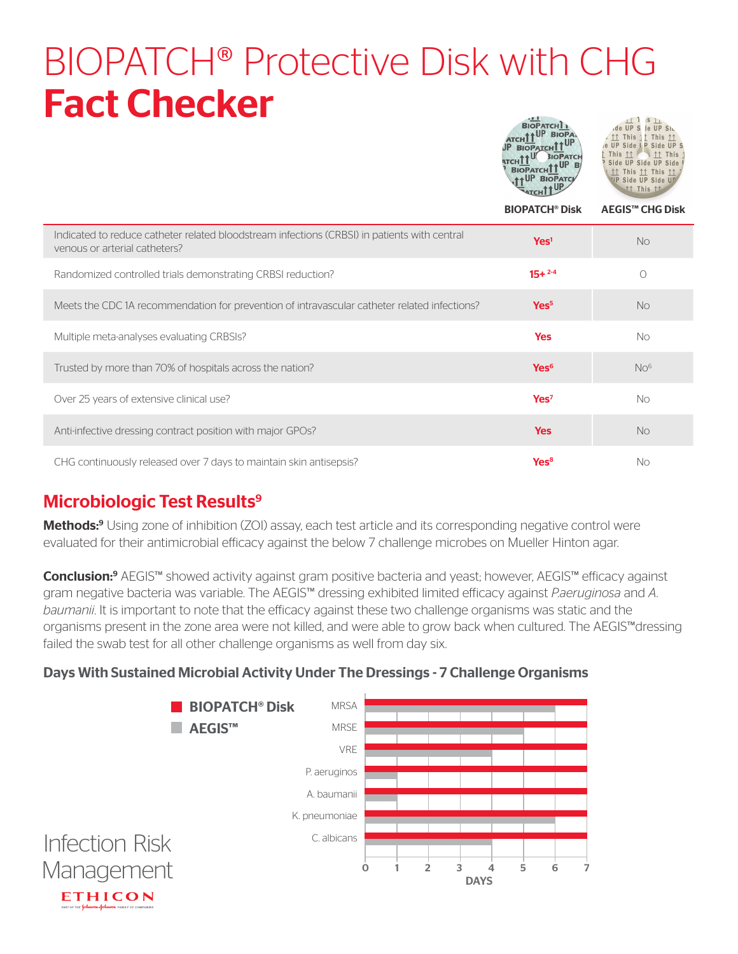## BIOPATCH® Protective Disk with CHG Fact Checker BIOPATCH<sup>1</sup>  $\frac{11}{18}$  is  $\frac{11}{18}$  S<sub>1</sub>

|                                                                                                                               | <b>ATCHII</b><br>JP BIOPATCHI1<br><b>BIOPATCH</b><br><b>ATCHTT</b><br><b>BIOPATCH</b><br><b>AUP BIOPATC</b><br><b>BIOPATCH<sup>®</sup> Disk</b> | $\sqrt{11}$ $\sqrt{1113}$ $\sqrt{11}$<br>e UP Side LP Side UP S<br>This 11 > 11 This<br>Side UP Side UP Side<br>↑↑ This ↑↑ This ↑↑<br><b>UP Side UP Side UP</b><br>11 This 11<br><b>AEGIS™ CHG Disk</b> |
|-------------------------------------------------------------------------------------------------------------------------------|-------------------------------------------------------------------------------------------------------------------------------------------------|---------------------------------------------------------------------------------------------------------------------------------------------------------------------------------------------------------|
| Indicated to reduce catheter related bloodstream infections (CRBSI) in patients with central<br>venous or arterial catheters? | Yes <sup>1</sup>                                                                                                                                | <b>No</b>                                                                                                                                                                                               |
| Randomized controlled trials demonstrating CRBSI reduction?                                                                   | $15+2.4$                                                                                                                                        | $\bigcirc$                                                                                                                                                                                              |
| Meets the CDC 1A recommendation for prevention of intravascular catheter related infections?                                  | Yes <sup>5</sup>                                                                                                                                | <b>No</b>                                                                                                                                                                                               |
| Multiple meta-analyses evaluating CRBSIs?                                                                                     | <b>Yes</b>                                                                                                                                      | <b>No</b>                                                                                                                                                                                               |
| Trusted by more than 70% of hospitals across the nation?                                                                      | Yes <sup>6</sup>                                                                                                                                | NO <sup>6</sup>                                                                                                                                                                                         |
| Over 25 years of extensive clinical use?                                                                                      | Yes <sup>7</sup>                                                                                                                                | No                                                                                                                                                                                                      |
| Anti-infective dressing contract position with major GPOs?                                                                    | <b>Yes</b>                                                                                                                                      | <b>No</b>                                                                                                                                                                                               |
| CHG continuously released over 7 days to maintain skin antisepsis?                                                            | Yes <sup>8</sup>                                                                                                                                | No                                                                                                                                                                                                      |

### Microbiologic Test Results<sup>9</sup>

Methods:<sup>9</sup> Using zone of inhibition (ZOI) assay, each test article and its corresponding negative control were evaluated for their antimicrobial efficacy against the below 7 challenge microbes on Mueller Hinton agar.

Conclusion:<sup>9</sup> AEGIS™ showed activity against gram positive bacteria and yeast; however, AEGIS™ efficacy against gram negative bacteria was variable. The AEGIS™ dressing exhibited limited efficacy against *P.aeruginosa* and *A. baumanii*. It is important to note that the efficacy against these two challenge organisms was static and the organisms present in the zone area were not killed, and were able to grow back when cultured. The AEGIS™dressing failed the swab test for all other challenge organisms as well from day six.

#### Days With Sustained Microbial Activity Under The Dressings - 7 Challenge Organisms